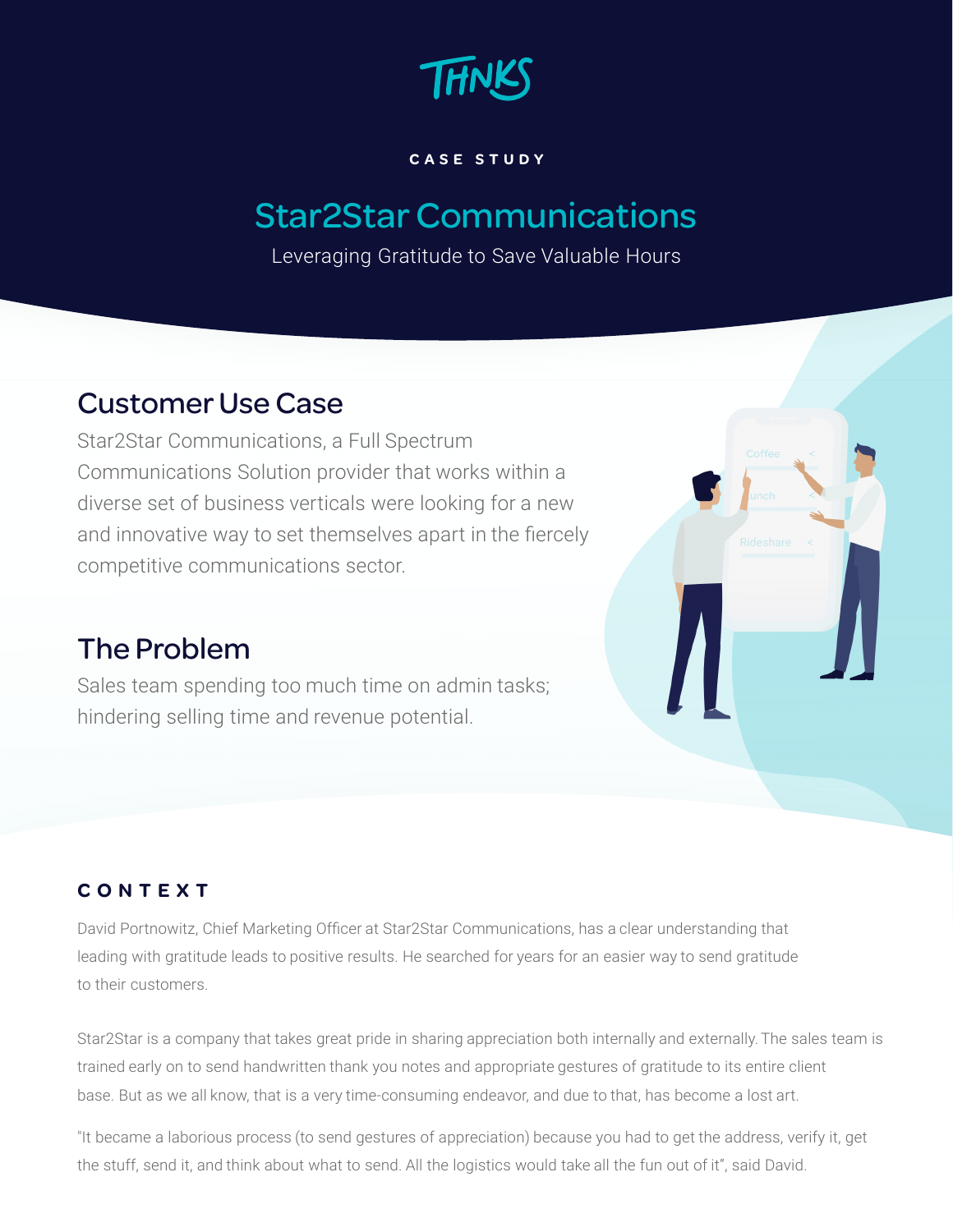

#### **C A S E S T U D Y**

# Star2Star Communications

Leveraging Gratitude to Save Valuable Hours

# Customer Use Case

Star2Star Communications, a Full Spectrum Communications Solution provider that works within a diverse set of business verticals were looking for a new and innovative way to set themselves apart in the fiercely competitive communications sector.

# The Problem

Sales team spending too much time on admin tasks; hindering selling time and revenue potential.

## **C O N T E X T**

David Portnowitz, Chief Marketing Officer at Star2Star Communications, has a clear understanding that leading with gratitude leads to positive results. He searched for years for an easier way to send gratitude to their customers.

Star2Star is a company that takes great pride in sharing appreciation both internally and externally.The sales team is trained early on to send handwritten thank you notes and appropriate gestures of gratitude to its entire client base. But as we all know, that is a very time-consuming endeavor, and due to that, has become a lost art.

"It became a laborious process (to send gestures of appreciation) because you had to get the address, verify it, get the stuff, send it, and think about what to send. All the logistics would take all the fun out of it", said David.